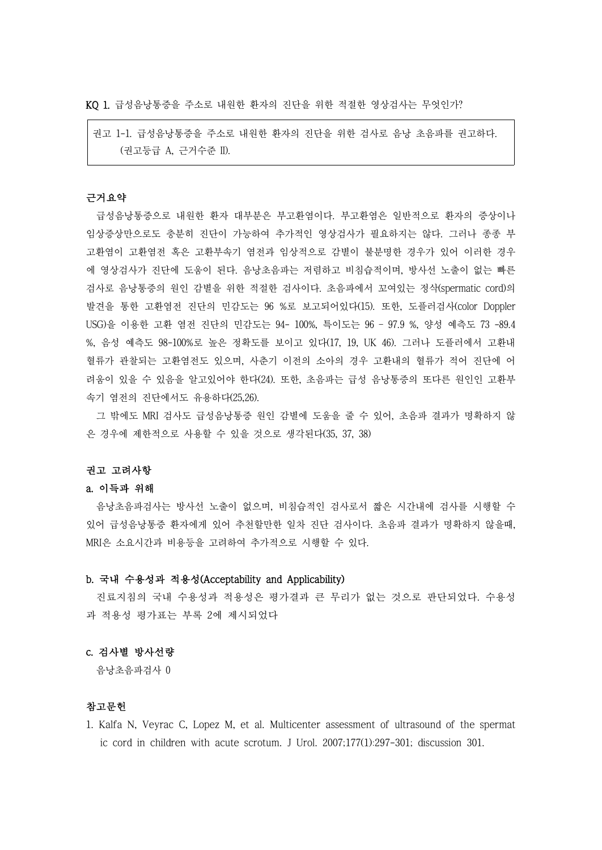KQ 1. 급성음낭통증을 주소로 내원한 환자의 진단을 위한 적절한 영상검사는 무엇인가?

권고 1-1. 급성음낭통증을 주소로 내원한 환자의 진단을 위한 검사로 음낭 초음파를 권고하다. (권고등급 A, 근거수준 II).

# 근거요약

급성음낭통증으로 내원한 환자 대부분은 부고환염이다. 부고환염은 일반적으로 환자의 증상이나 임상증상만으로도 충분히 진단이 가능하여 추가적인 영상검사가 필요하지는 않다. 그러나 종종 부 고환염이 고환염전 혹은 고환부속기 염전과 임상적으로 감별이 불분명한 경우가 있어 이러한 경우 에 영상검사가 진단에 도움이 된다. 음낭초음파는 저렴하고 비침습적이며, 방사선 노출이 없는 빠른 검사로 음낭통증의 원인 감별을 위한 적절한 검사이다. 초음파에서 꼬여있는 정삭(spermatic cord)의 발견을 통한 고환염전 진단의 민감도는 96 %로 보고되어있다(15). 또한, 도플러검사(color Doppler USG)을 이용한 고환 염전 진단의 민감도는 94- 100%, 특이도는 96 – 97.9 %, 양성 예측도 73 -89.4 %, 음성 예측도 98-100%로 높은 정확도를 보이고 있다(17, 19, UK 46). 그러나 도플러에서 고환내 혈류가 관찰되는 고환염전도 있으며, 사춘기 이전의 소아의 경우 고환내의 혈류가 적어 진단에 어 려움이 있을 수 있음을 알고있어야 한다(24). 또한, 초음파는 급성 음낭통증의 또다른 원인인 고환부 속기 염전의 진단에서도 유용하다(25,26).

그 밖에도 MRI 검사도 급성음낭통증 원인 감별에 도움을 줄 수 있어, 초음파 결과가 명확하지 않 은 경우에 제한적으로 사용할 수 있을 것으로 생각된다(35, 37, 38)

#### 권고 고려사항

### a. 이득과 위해

음낭초음파검사는 방사선 노출이 없으며, 비침습적인 검사로서 짧은 시간내에 검사를 시행할 수 있어 급성음낭통증 환자에게 있어 추천할만한 일차 진단 검사이다. 초음파 결과가 명확하지 않을때,<br>MRI은 소요시간과 비용등을 고려하여 추가적으로 시행할 수 있다.

### b. 국내 수용성과 적용성(Acceptability and Applicability)

진료지침의 국내 수용성과 적용성은 평가결과 큰 무리가 없는 것으로 판단되었다. 수용성 과 적용성 평가표는 부록 2에 제시되었다

#### c. 검사별 방사선량

음낭초음파검사 0

## 참고문헌

1. Kalfa N, Veyrac C, Lopez M, et al. Multicenter assessment of ultrasound of the spermat ic cord in children with acute scrotum. J Urol. 2007;177(1):297-301; discussion 301.